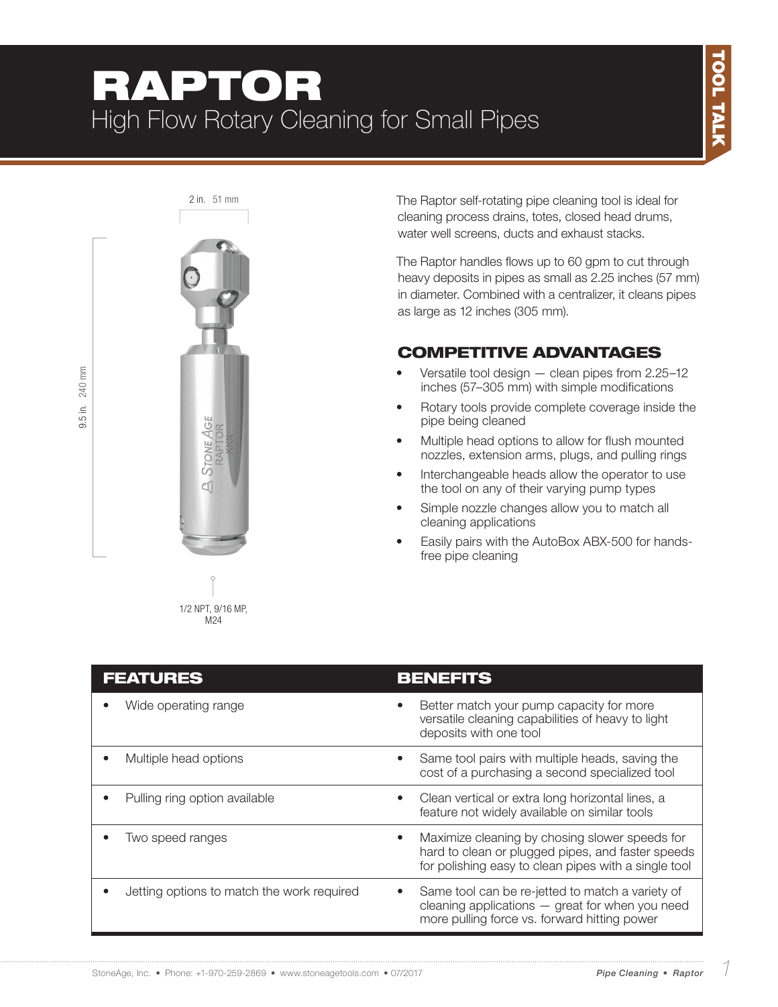# RAPTOR High Flow Rotary Cleaning for Small Pipes



9.5 in. 240 mm

 $9.5$  in.

240 mm

1/2 NPT, 9/16 MP, M24

2 in. 51 mm The Raptor self-rotating pipe cleaning tool is ideal for cleaning process drains, totes, closed head drums, water well screens, ducts and exhaust stacks.

> The Raptor handles flows up to 60 gpm to cut through heavy deposits in pipes as small as 2.25 inches (57 mm) in diameter. Combined with a centralizer, it cleans pipes as large as 12 inches (305 mm).

### COMPETITIVE ADVANTAGES

- Versatile tool design  $-$  clean pipes from 2.25-12 inches (57–305 mm) with simple modifications
- Rotary tools provide complete coverage inside the pipe being cleaned
- Multiple head options to allow for flush mounted nozzles, extension arms, plugs, and pulling rings
- Interchangeable heads allow the operator to use the tool on any of their varying pump types
- Simple nozzle changes allow you to match all cleaning applications
- Easily pairs with the AutoBox ABX-500 for handsfree pipe cleaning

| <b>FEATURES</b>                            | <b>BENEFITS</b>                                                                                                                                                          |
|--------------------------------------------|--------------------------------------------------------------------------------------------------------------------------------------------------------------------------|
| Wide operating range                       | Better match your pump capacity for more<br>versatile cleaning capabilities of heavy to light<br>deposits with one tool                                                  |
| Multiple head options                      | Same tool pairs with multiple heads, saving the<br>$\bullet$<br>cost of a purchasing a second specialized tool                                                           |
| Pulling ring option available              | Clean vertical or extra long horizontal lines, a<br>feature not widely available on similar tools                                                                        |
| Two speed ranges                           | Maximize cleaning by chosing slower speeds for<br>$\bullet$<br>hard to clean or plugged pipes, and faster speeds<br>for polishing easy to clean pipes with a single tool |
| Jetting options to match the work required | Same tool can be re-jetted to match a variety of<br>$\bullet$<br>cleaning applications $-$ great for when you need<br>more pulling force vs. forward hitting power       |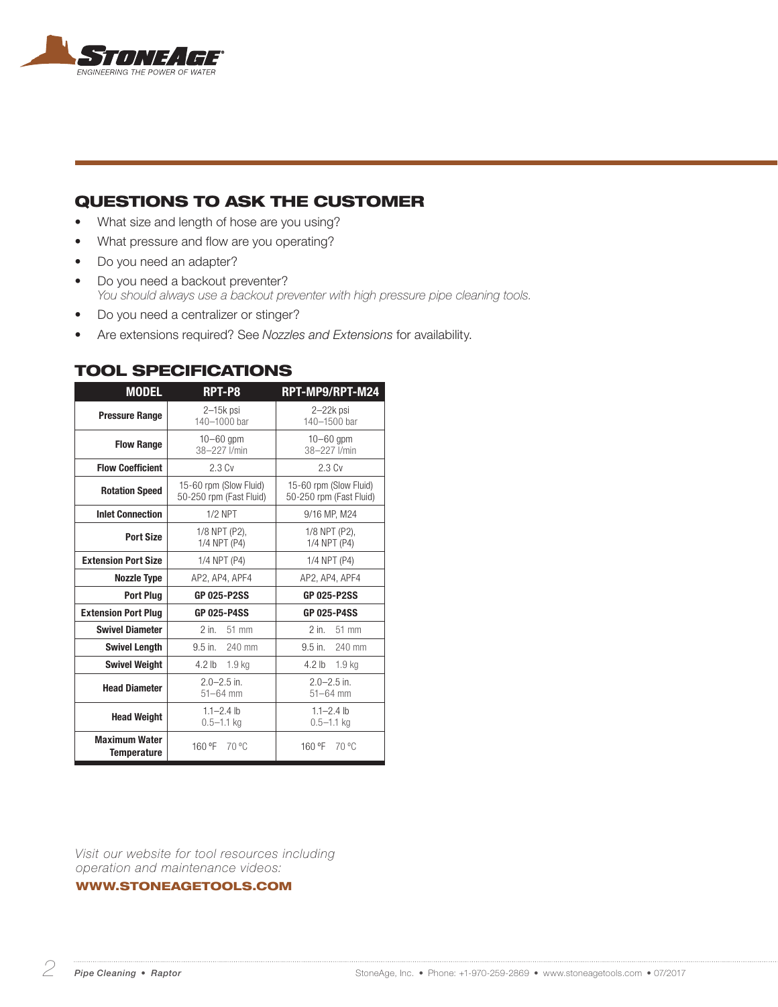

### QUESTIONS TO ASK THE CUSTOMER

- What size and length of hose are you using?
- What pressure and flow are you operating?
- Do you need an adapter?
- Do you need a backout preventer? *You should always use a backout preventer with high pressure pipe cleaning tools.*
- Do you need a centralizer or stinger?
- Are extensions required? See *Nozzles and Extensions* for availability.

| <b>MODEL</b>                               | RPT-P8                                            | RPT-MP9/RPT-M24                                   |  |
|--------------------------------------------|---------------------------------------------------|---------------------------------------------------|--|
| <b>Pressure Range</b>                      | $2-15k$ psi<br>140-1000 bar                       | 2-22k psi<br>140-1500 bar                         |  |
| <b>Flow Range</b>                          | $10 - 60$ qpm<br>38-227 I/min                     | $10 - 60$ qpm<br>38-227 I/min                     |  |
| <b>Flow Coefficient</b>                    | 2.3 Cv                                            | 2.3 Cv                                            |  |
| <b>Rotation Speed</b>                      | 15-60 rpm (Slow Fluid)<br>50-250 rpm (Fast Fluid) | 15-60 rpm (Slow Fluid)<br>50-250 rpm (Fast Fluid) |  |
| <b>Inlet Connection</b>                    | $1/2$ NPT                                         | 9/16 MP, M24                                      |  |
| Port Size                                  | 1/8 NPT (P2),<br>1/4 NPT (P4)                     | 1/8 NPT (P2),<br>1/4 NPT (P4)                     |  |
| <b>Extension Port Size</b>                 | 1/4 NPT (P4)                                      | 1/4 NPT (P4)                                      |  |
| <b>Nozzle Type</b>                         | AP2, AP4, APF4                                    | AP2, AP4, APF4                                    |  |
| <b>Port Plua</b>                           | <b>GP 025-P2SS</b>                                | <b>GP 025-P2SS</b>                                |  |
| <b>Extension Port Plug</b>                 | <b>GP 025-P4SS</b>                                | <b>GP 025-P4SS</b>                                |  |
| <b>Swivel Diameter</b>                     | $2$ in $\overline{ }$<br>51 mm                    | $2$ in. $51$ mm                                   |  |
| <b>Swivel Length</b>                       | $9.5$ in.<br>240 mm                               | $9.5$ in.<br>240 mm                               |  |
| <b>Swivel Weight</b>                       | 4.2 <sub>lb</sub><br>1.9 <sub>kg</sub>            | 4.2 lb 1.9 kg                                     |  |
| <b>Head Diameter</b>                       | $2.0 - 2.5$ in.<br>$51 - 64$ mm                   | $2.0 - 2.5$ in.<br>$51 - 64$ mm                   |  |
| <b>Head Weight</b>                         | $1.1 - 2.4$ lb<br>$0.5 - 1.1$ kg                  | $1.1 - 2.4$ lb<br>$0.5 - 1.1$ kg                  |  |
| <b>Maximum Water</b><br><b>Temperature</b> | 160 °F 70 °C                                      | 160 °F 70 °C                                      |  |

#### TOOL SPECIFICATIONS

*Visit our website for tool resources including operation and maintenance videos:* 

WWW.STONEAGETOOLS.COM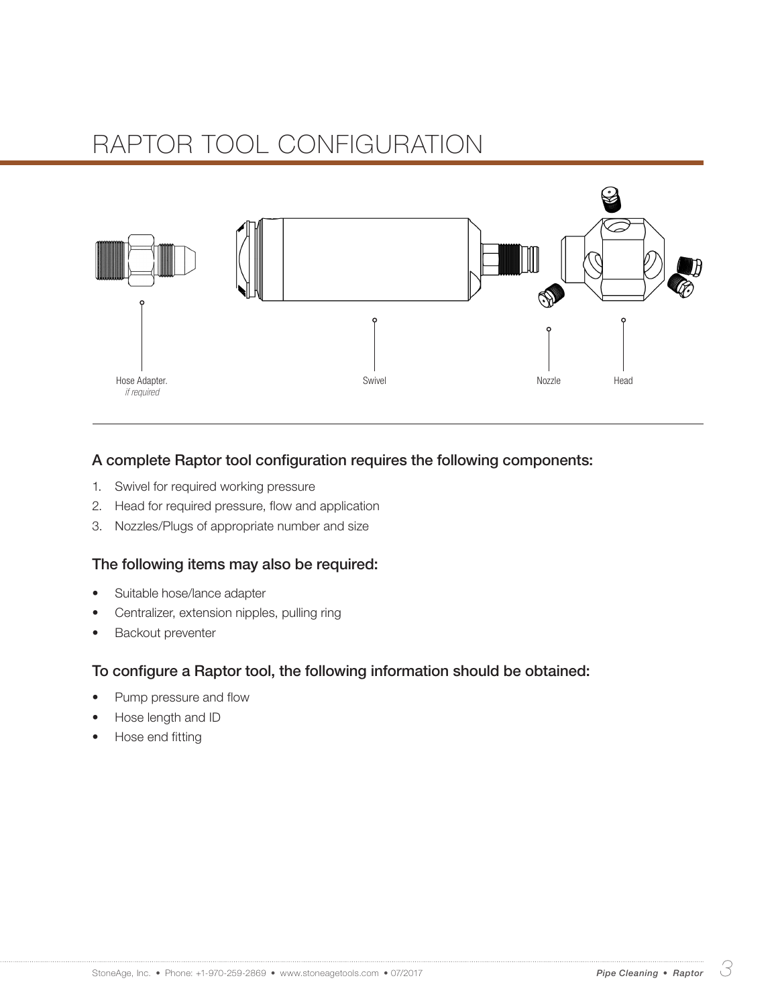

#### A complete Raptor tool configuration requires the following components:

- 1. Swivel for required working pressure
- 2. Head for required pressure, flow and application
- 3. Nozzles/Plugs of appropriate number and size

#### The following items may also be required:

- Suitable hose/lance adapter
- Centralizer, extension nipples, pulling ring
- Backout preventer

#### To configure a Raptor tool, the following information should be obtained:

- Pump pressure and flow
- Hose length and ID
- Hose end fitting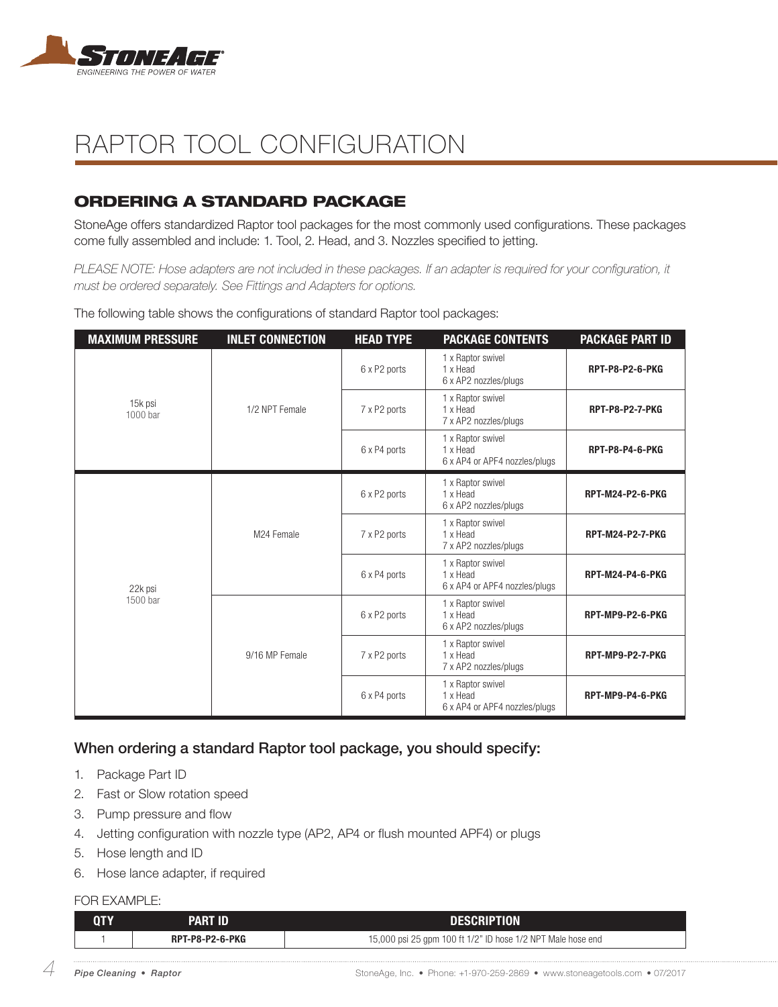

### ORDERING A STANDARD PACKAGE

StoneAge offers standardized Raptor tool packages for the most commonly used configurations. These packages come fully assembled and include: 1. Tool, 2. Head, and 3. Nozzles specified to jetting.

*PLEASE NOTE: Hose adapters are not included in these packages. If an adapter is required for your configuration, it must be ordered separately. See Fittings and Adapters for options.*

| <b>MAXIMUM PRESSURE</b> | <b>INLET CONNECTION</b>      | <b>HEAD TYPE</b> | <b>PACKAGE CONTENTS</b>                                        | <b>PACKAGE PART ID</b>  |
|-------------------------|------------------------------|------------------|----------------------------------------------------------------|-------------------------|
|                         |                              | 6 x P2 ports     | 1 x Raptor swivel<br>1 x Head<br>6 x AP2 nozzles/plugs         | <b>RPT-P8-P2-6-PKG</b>  |
| 15k psi<br>1000 bar     | 1/2 NPT Female               | 7 x P2 ports     | 1 x Raptor swivel<br>1 x Head<br>7 x AP2 nozzles/plugs         | <b>RPT-P8-P2-7-PKG</b>  |
|                         |                              | 6 x P4 ports     | 1 x Raptor swivel<br>1 x Head<br>6 x AP4 or APF4 nozzles/plugs | <b>RPT-P8-P4-6-PKG</b>  |
| 22k psi<br>1500 bar     | M24 Female<br>9/16 MP Female | 6 x P2 ports     | 1 x Raptor swivel<br>1 x Head<br>6 x AP2 nozzles/plugs         | <b>RPT-M24-P2-6-PKG</b> |
|                         |                              | 7 x P2 ports     | 1 x Raptor swivel<br>1 x Head<br>7 x AP2 nozzles/plugs         | <b>RPT-M24-P2-7-PKG</b> |
|                         |                              | 6 x P4 ports     | 1 x Raptor swivel<br>1 x Head<br>6 x AP4 or APF4 nozzles/plugs | <b>RPT-M24-P4-6-PKG</b> |
|                         |                              | 6 x P2 ports     | 1 x Raptor swivel<br>1 x Head<br>6 x AP2 nozzles/plugs         | RPT-MP9-P2-6-PKG        |
|                         |                              | 7 x P2 ports     | 1 x Raptor swivel<br>1 x Head<br>7 x AP2 nozzles/plugs         | <b>RPT-MP9-P2-7-PKG</b> |
|                         |                              | 6 x P4 ports     | 1 x Raptor swivel<br>1 x Head<br>6 x AP4 or APF4 nozzles/plugs | RPT-MP9-P4-6-PKG        |

The following table shows the configurations of standard Raptor tool packages:

### When ordering a standard Raptor tool package, you should specify:

- 1. Package Part ID
- 2. Fast or Slow rotation speed
- 3. Pump pressure and flow
- 4. Jetting configuration with nozzle type (AP2, AP4 or flush mounted APF4) or plugs
- 5. Hose length and ID
- 6. Hose lance adapter, if required

#### FOR EXAMPLE:

| 0TY | PART ID                | <b>DESCRIPTION</b>                                          |  |
|-----|------------------------|-------------------------------------------------------------|--|
|     | <b>RPT-P8-P2-6-PKG</b> | 15,000 psi 25 gpm 100 ft 1/2" ID hose 1/2 NPT Male hose end |  |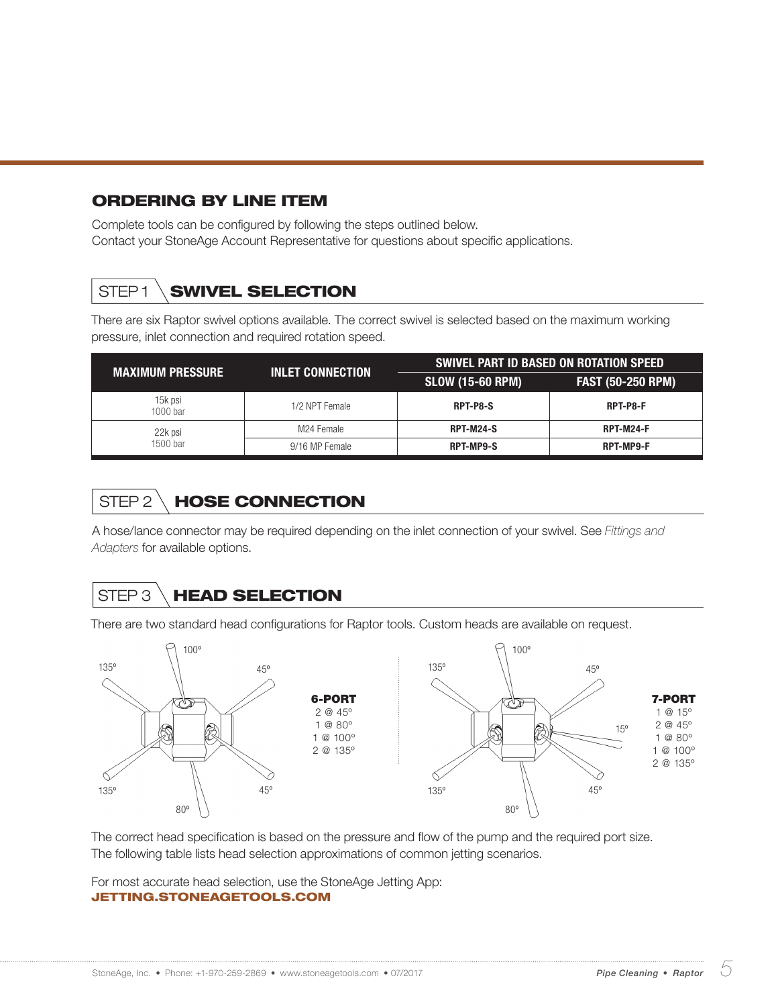### ORDERING BY LINE ITEM

Complete tools can be configured by following the steps outlined below. Contact your StoneAge Account Representative for questions about specific applications.

### STEP1 **SWIVEL SELECTION**

There are six Raptor swivel options available. The correct swivel is selected based on the maximum working pressure, inlet connection and required rotation speed.

| <b>MAXIMUM PRESSURE</b> | <b>INLET CONNECTION</b> | <b>SWIVEL PART ID BASED ON ROTATION SPEED</b> |                          |  |
|-------------------------|-------------------------|-----------------------------------------------|--------------------------|--|
|                         |                         | <b>SLOW (15-60 RPM)</b>                       | <b>FAST (50-250 RPM)</b> |  |
| 15k psi<br>1000 bar     | 1/2 NPT Female          | RPT-P8-S                                      | RPT-P8-F                 |  |
| 22k psi                 | M24 Female              | <b>RPT-M24-S</b>                              | <b>RPT-M24-F</b>         |  |
| 1500 bar                | 9/16 MP Female          | <b>RPT-MP9-S</b>                              | <b>RPT-MP9-F</b>         |  |

## STEP 2 \ HOSE CONNECTION

A hose/lance connector may be required depending on the inlet connection of your swivel. See *Fittings and Adapters* for available options.

## STEP 3 **HEAD SELECTION**

There are two standard head configurations for Raptor tools. Custom heads are available on request.



The correct head specification is based on the pressure and flow of the pump and the required port size. The following table lists head selection approximations of common jetting scenarios.

For most accurate head selection, use the StoneAge Jetting App: JETTING.STONEAGETOOLS.COM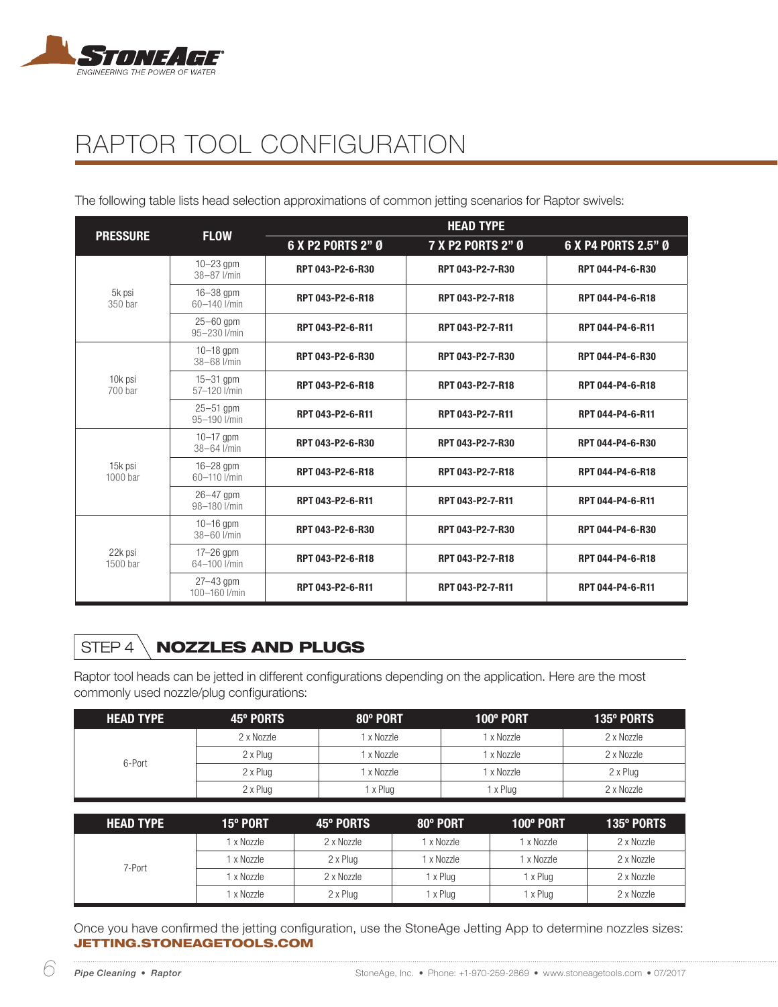

The following table lists head selection approximations of common jetting scenarios for Raptor swivels:

| <b>PRESSURE</b>     | <b>FLOW</b>                    | <b>HEAD TYPE</b>  |                   |                     |  |
|---------------------|--------------------------------|-------------------|-------------------|---------------------|--|
|                     |                                | 6 X P2 PORTS 2" Ø | 7 X P2 PORTS 2" Ø | 6 X P4 PORTS 2.5" Ø |  |
|                     | $10-23$ gpm<br>38-87 l/min     | RPT 043-P2-6-R30  | RPT 043-P2-7-R30  | RPT 044-P4-6-R30    |  |
| 5k psi<br>350 bar   | $16 - 38$ gpm<br>60-140 l/min  | RPT 043-P2-6-R18  | RPT 043-P2-7-R18  | RPT 044-P4-6-R18    |  |
|                     | $25 - 60$ gpm<br>95-230 l/min  | RPT 043-P2-6-R11  | RPT 043-P2-7-R11  | RPT 044-P4-6-R11    |  |
|                     | $10 - 18$ gpm<br>38-68 l/min   | RPT 043-P2-6-R30  | RPT 043-P2-7-R30  | RPT 044-P4-6-R30    |  |
| 10k psi<br>700 bar  | $15-31$ gpm<br>57-120 l/min    | RPT 043-P2-6-R18  | RPT 043-P2-7-R18  | RPT 044-P4-6-R18    |  |
|                     | $25 - 51$ gpm<br>95-190 l/min  | RPT 043-P2-6-R11  | RPT 043-P2-7-R11  | RPT 044-P4-6-R11    |  |
|                     | $10 - 17$ gpm<br>38-64 l/min   | RPT 043-P2-6-R30  | RPT 043-P2-7-R30  | RPT 044-P4-6-R30    |  |
| 15k psi<br>1000 bar | $16-28$ gpm<br>60-110 l/min    | RPT 043-P2-6-R18  | RPT 043-P2-7-R18  | RPT 044-P4-6-R18    |  |
|                     | $26 - 47$ gpm<br>98-180 l/min  | RPT 043-P2-6-R11  | RPT 043-P2-7-R11  | RPT 044-P4-6-R11    |  |
|                     | $10 - 16$ gpm<br>38-60 l/min   | RPT 043-P2-6-R30  | RPT 043-P2-7-R30  | RPT 044-P4-6-R30    |  |
| 22k psi<br>1500 bar | $17-26$ gpm<br>64-100 l/min    | RPT 043-P2-6-R18  | RPT 043-P2-7-R18  | RPT 044-P4-6-R18    |  |
|                     | $27 - 43$ gpm<br>100-160 l/min | RPT 043-P2-6-R11  | RPT 043-P2-7-R11  | RPT 044-P4-6-R11    |  |

## STEP 4 \ **NOZZLES AND PLUGS**

Raptor tool heads can be jetted in different configurations depending on the application. Here are the most commonly used nozzle/plug configurations:

| <b>HEAD TYPE</b> | 45° PORTS  | 80° PORT | $100^\circ$ PORT | 135° PORTS |
|------------------|------------|----------|------------------|------------|
|                  | 2 x Nozzle | x Nozzle | x Nozzle         | 2 x Nozzle |
|                  | 2 x Plug   | x Nozzle | x Nozzle         | 2 x Nozzle |
| 6-Port           | 2 x Plug   | x Nozzle | x Nozzle         | 2 x Plug   |
|                  | 2 x Plug   | x Plug   | x Plug           | 2 x Nozzle |

| <b>HEAD TYPE</b> | 15° PORT   | 45° PORTS  | 80° PORT   | 100° PORT  | <b>135º PORTS</b> |
|------------------|------------|------------|------------|------------|-------------------|
|                  | 1 x Nozzle | 2 x Nozzle | 1 x Nozzle | 1 x Nozzle | 2 x Nozzle        |
|                  | 1 x Nozzle | 2 x Plug   | 1 x Nozzle | 1 x Nozzle | 2 x Nozzle        |
| 7-Port           | 1 x Nozzle | 2 x Nozzle | x Plug     | I x Plug   | 2 x Nozzle        |
|                  | 1 x Nozzle | 2 x Plug   | x Plug     | I x Plug   | 2 x Nozzle        |

Once you have confirmed the jetting configuration, use the StoneAge Jetting App to determine nozzles sizes: JETTING.STONEAGETOOLS.COM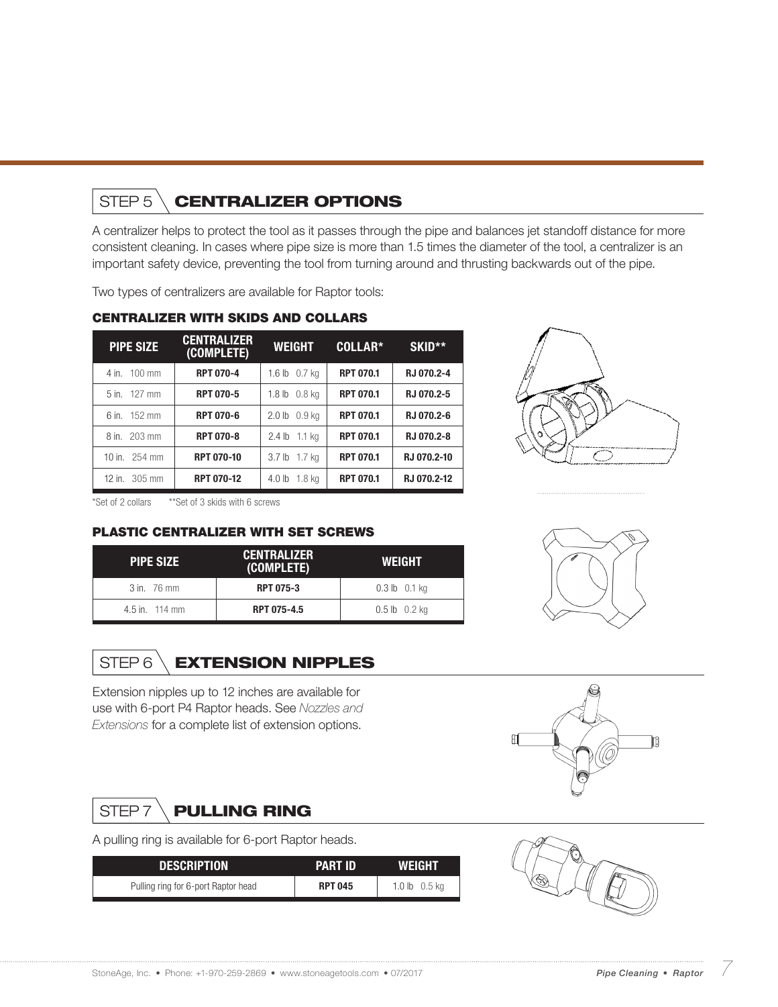### STEP 5 \ **CENTRALIZER OPTIONS**

A centralizer helps to protect the tool as it passes through the pipe and balances jet standoff distance for more consistent cleaning. In cases where pipe size is more than 1.5 times the diameter of the tool, a centralizer is an important safety device, preventing the tool from turning around and thrusting backwards out of the pipe.

Two types of centralizers are available for Raptor tools:

| <b>PIPE SIZE</b>        | <b>CENTRALIZER</b><br>(COMPLETE) | <b>WEIGHT</b>           | COLLAR*          | SKID**      |
|-------------------------|----------------------------------|-------------------------|------------------|-------------|
| 4 in. 100 mm            | <b>RPT 070-4</b>                 | 1.6 lb 0.7 kg           | <b>RPT 070.1</b> | RJ 070.2-4  |
| 5 in. 127 mm            | <b>RPT 070-5</b>                 | $1.8$ lb $0.8$ kg       | <b>RPT 070.1</b> | RJ 070.2-5  |
| 6 in. 152 mm            | <b>RPT 070-6</b>                 | $2.0 \,$ lb $0.9 \,$ ka | <b>RPT 070.1</b> | RJ 070.2-6  |
| 8 in. 203 mm            | <b>RPT 070-8</b>                 | 2.4 lb 1.1 kg           | <b>RPT 070.1</b> | RJ 070.2-8  |
| 10 in. 254 mm           | <b>RPT 070-10</b>                | 3.7 lb 1.7 kg           | <b>RPT 070.1</b> | RJ 070.2-10 |
| 12 in. $305 \text{ mm}$ | <b>RPT 070-12</b>                | 4.0 lb 1.8 kg           | <b>RPT 070.1</b> | RJ 070.2-12 |

3 in. 76 mm **RPT 075-3** 0.3 lb 0.1 kg 4.5 in. 114 mm **RPT 075-4.5** 0.5 lb 0.2 kg

(COMPLETE) WEIGHT

#### CENTRALIZER WITH SKIDS AND COLLARS

PLASTIC CENTRALIZER WITH SET SCREWS

STEP 6 \**EXTENSION NIPPLES** 

Extension nipples up to 12 inches are available for use with 6-port P4 Raptor heads. See *Nozzles and Extensions* for a complete list of extension options.

PIPE SIZE CENTRALIZER

\*Set of 2 collars \*\*Set of 3 skids with 6 screws







A pulling ring is available for 6-port Raptor heads.

| <b>DESCRIPTION</b>                  | <b>PART ID</b> | <b>WEIGHT</b>   |
|-------------------------------------|----------------|-----------------|
| Pulling ring for 6-port Raptor head | <b>RPT 045</b> | 1.0 $lb$ 0.5 kg |



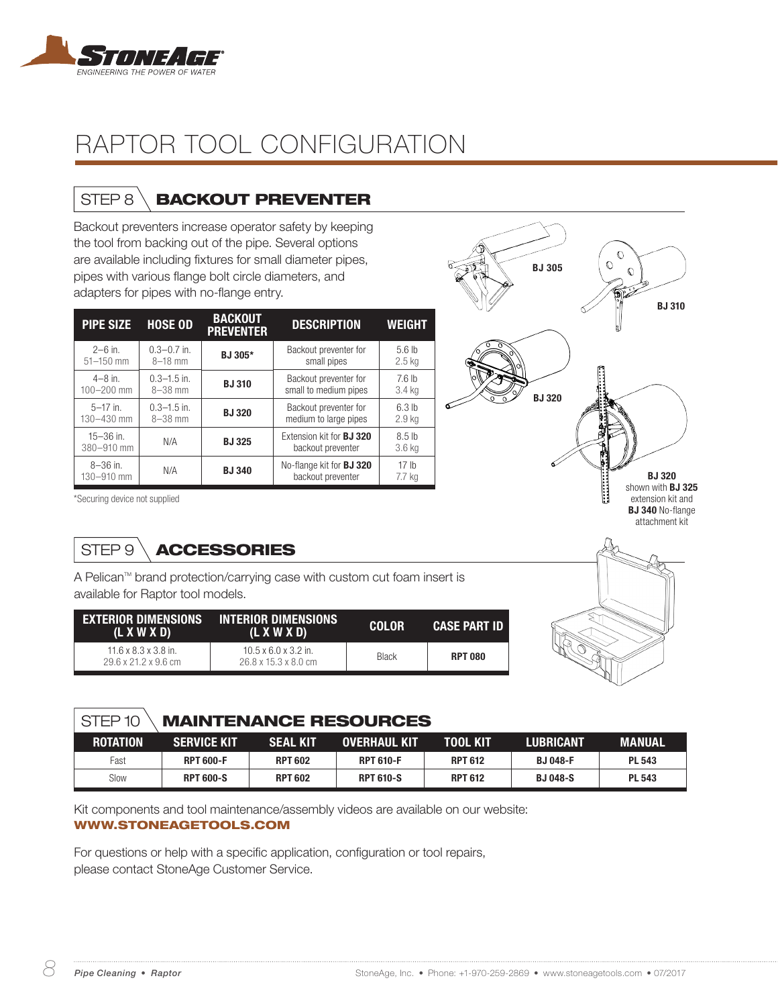

### STEP 8 \**BACKOUT PREVENTER**

Backout preventers increase operator safety by keeping the tool from backing out of the pipe. Several options are available including fixtures for small diameter pipes, pipes with various flange bolt circle diameters, and adapters for pipes with no-flange entry.

| <b>PIPE SIZE</b>            | <b>HOSE OD</b>  | <b>BACKOUT</b><br><b>PREVENTER</b> | <b>DESCRIPTION</b>                                   | <b>WEIGHT</b>              |
|-----------------------------|-----------------|------------------------------------|------------------------------------------------------|----------------------------|
| $2 - 6$ in.                 | $0.3 - 0.7$ in. | BJ 305*                            | Backout preventer for                                | 5.6 <sub>h</sub>           |
| $51 - 150$ mm               | $8 - 18$ mm     |                                    | small pipes                                          | $2.5$ kg                   |
| $4 - 8$ in.                 | $0.3 - 1.5$ in. | <b>BJ310</b>                       | Backout preventer for                                | 7.6 <sub>h</sub>           |
| $100 - 200$ mm              | $8 - 38$ mm     |                                    | small to medium pipes                                | 3.4 kg                     |
| $5-17$ in.                  | $0.3 - 1.5$ in. | <b>BJ320</b>                       | Backout preventer for                                | 6.3 <sub>th</sub>          |
| 130-430 mm                  | $8 - 38$ mm     |                                    | medium to large pipes                                | 2.9 <sub>kg</sub>          |
| $15 - 36$ in.<br>380-910 mm | N/A             | <b>BJ325</b>                       | Extension kit for <b>BJ 320</b><br>backout preventer | 8.5 <sub>h</sub><br>3.6 kg |
| $8 - 36$ in.<br>130-910 mm  | N/A             | <b>BJ340</b>                       | No-flange kit for <b>BJ 320</b><br>backout preventer | 17 <sub>h</sub><br>7.7 ka  |

 $\circ$  $\mathcal{O}$ BJ 305  $\mathcal{O}$ T. BJ 310 BJ 320

BJ 320 shown with BJ 325 extension kit and BJ 340 No-flange attachment kit

\*Securing device not supplied

## STEP 9 \**ACCESSORIES**

A Pelican<sup>™</sup> brand protection/carrying case with custom cut foam insert is available for Raptor tool models.

| EXTERIOR DIMENSIONS<br>(L X W X D)                                   | <b>INTERIOR DIMENSIONS</b><br>(L X W X D)                                    | <b>COLOR</b> | <b>CASE PART ID</b> |
|----------------------------------------------------------------------|------------------------------------------------------------------------------|--------------|---------------------|
| $11.6 \times 8.3 \times 3.8$ in.<br>$29.6 \times 21.2 \times 9.6$ cm | $10.5 \times 6.0 \times 3.2$ in.<br>$26.8 \times 15.3 \times 8.0 \text{ cm}$ | <b>Black</b> | <b>RPT 080</b>      |

### STEP 10 MAINTENANCE RESOURCES

| <b>ROTATION</b> | <b>SERVICE KIT</b> | <b>SEAL KIT</b> | <b>OVERHAUL KIT</b> | <b>TOOL KIT</b> | <b>LUBRICANT</b> | MANUAL        |
|-----------------|--------------------|-----------------|---------------------|-----------------|------------------|---------------|
| Fast            | <b>RPT 600-F</b>   | <b>RPT 602</b>  | <b>RPT 610-F</b>    | <b>RPT 612</b>  | <b>BJ 048-F</b>  | <b>PL 543</b> |
| Slow            | <b>RPT 600-S</b>   | <b>RPT 602</b>  | <b>RPT 610-S</b>    | <b>RPT 612</b>  | <b>BJ 048-S</b>  | <b>PL 543</b> |

Kit components and tool maintenance/assembly videos are available on our website: WWW.STONEAGETOOLS.COM

For questions or help with a specific application, configuration or tool repairs, please contact StoneAge Customer Service.